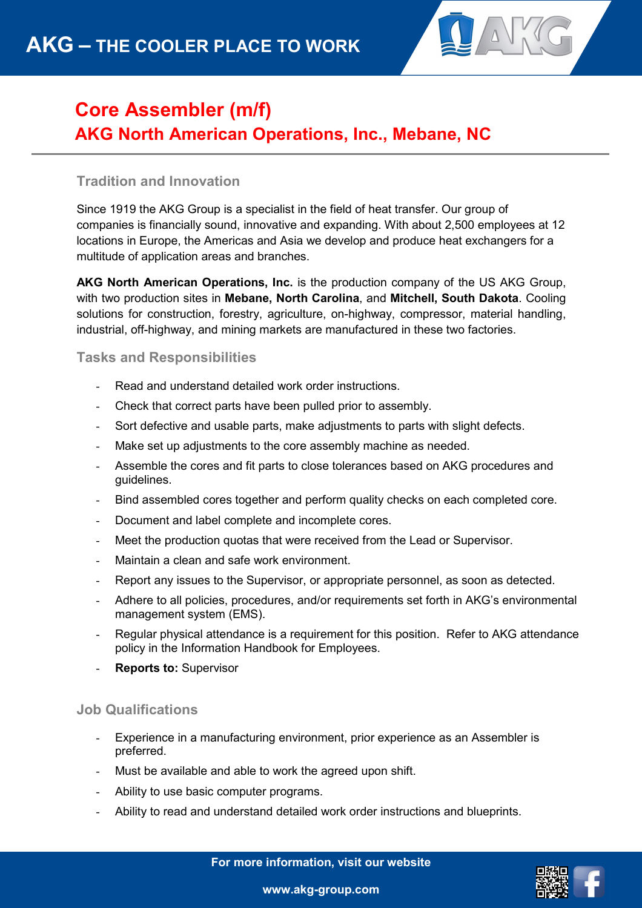

## **Core Assembler (m/f) AKG North American Operations, Inc., Mebane, NC**

## **Tradition and Innovation**

Since 1919 the AKG Group is a specialist in the field of heat transfer. Our group of companies is financially sound, innovative and expanding. With about 2,500 employees at 12 locations in Europe, the Americas and Asia we develop and produce heat exchangers for a multitude of application areas and branches.

**AKG North American Operations, Inc.** is the production company of the US AKG Group, with two production sites in **Mebane, North Carolina**, and **Mitchell, South Dakota**. Cooling solutions for construction, forestry, agriculture, on-highway, compressor, material handling, industrial, off-highway, and mining markets are manufactured in these two factories.

**Tasks and Responsibilities** 

- Read and understand detailed work order instructions.
- Check that correct parts have been pulled prior to assembly.
- Sort defective and usable parts, make adjustments to parts with slight defects.
- Make set up adjustments to the core assembly machine as needed.
- Assemble the cores and fit parts to close tolerances based on AKG procedures and guidelines.
- Bind assembled cores together and perform quality checks on each completed core.
- Document and label complete and incomplete cores.
- Meet the production quotas that were received from the Lead or Supervisor.
- Maintain a clean and safe work environment.
- Report any issues to the Supervisor, or appropriate personnel, as soon as detected.
- Adhere to all policies, procedures, and/or requirements set forth in AKG's environmental management system (EMS).
- Regular physical attendance is a requirement for this position. Refer to AKG attendance policy in the Information Handbook for Employees.
- **Reports to: Supervisor**

## **Job Qualifications**

- Experience in a manufacturing environment, prior experience as an Assembler is preferred.
- Must be available and able to work the agreed upon shift.
- Ability to use basic computer programs.
- Ability to read and understand detailed work order instructions and blueprints.

**For more information, visit our website**



**www.akg-group.com**